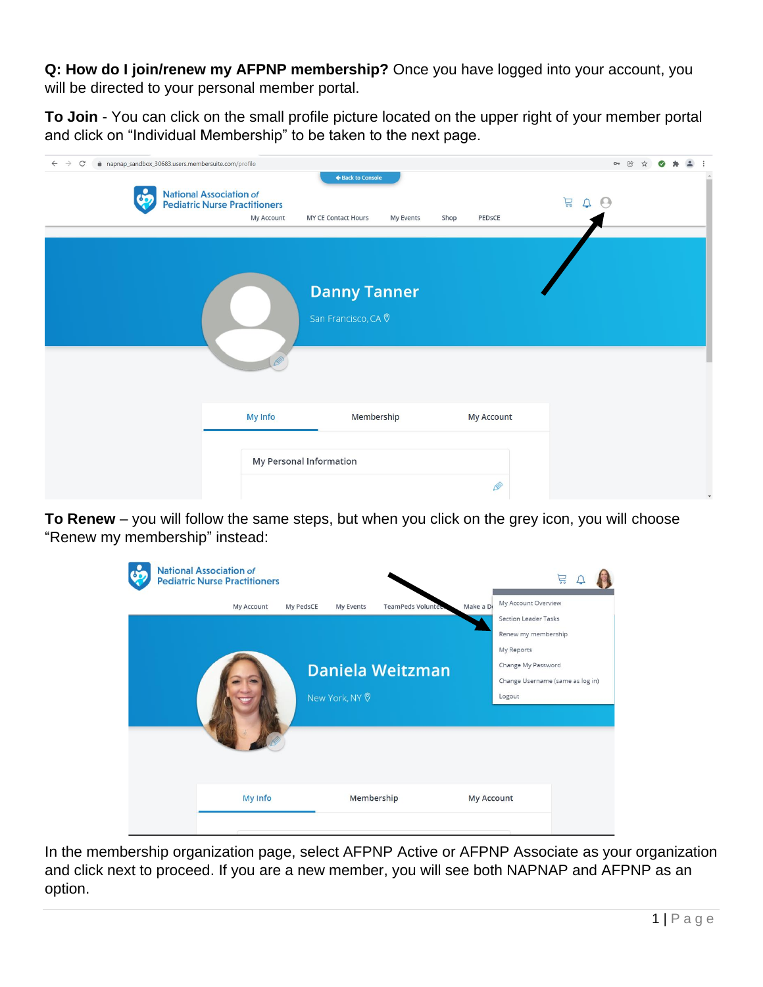**Q: How do I join/renew my AFPNP membership?** Once you have logged into your account, you will be directed to your personal member portal.

**To Join** - You can click on the small profile picture located on the upper right of your member portal and click on "Individual Membership" to be taken to the next page.

| napnap_sandbox_30683.users.membersuite.com/profile<br>$\leftarrow$<br>$\rightarrow$<br>$\mathcal{C}$ |                                                                        |                                                       |                   | $O_T$                            |  |
|------------------------------------------------------------------------------------------------------|------------------------------------------------------------------------|-------------------------------------------------------|-------------------|----------------------------------|--|
| တိ                                                                                                   | National Association of<br>Pediatric Nurse Practitioners<br>My Account | ← Back to Console<br>MY CE Contact Hours<br>My Events | PEDSCE<br>Shop    | <u>P</u><br>$\Delta$<br>$\Theta$ |  |
|                                                                                                      |                                                                        | <b>Danny Tanner</b><br>San Francisco, CA 0            |                   |                                  |  |
|                                                                                                      | <b>My Info</b>                                                         | Membership                                            | <b>My Account</b> |                                  |  |
|                                                                                                      | <b>My Personal Information</b>                                         |                                                       | Ø                 |                                  |  |

**To Renew** – you will follow the same steps, but when you click on the grey icon, you will choose "Renew my membership" instead:



In the membership organization page, select AFPNP Active or AFPNP Associate as your organization and click next to proceed. If you are a new member, you will see both NAPNAP and AFPNP as an option.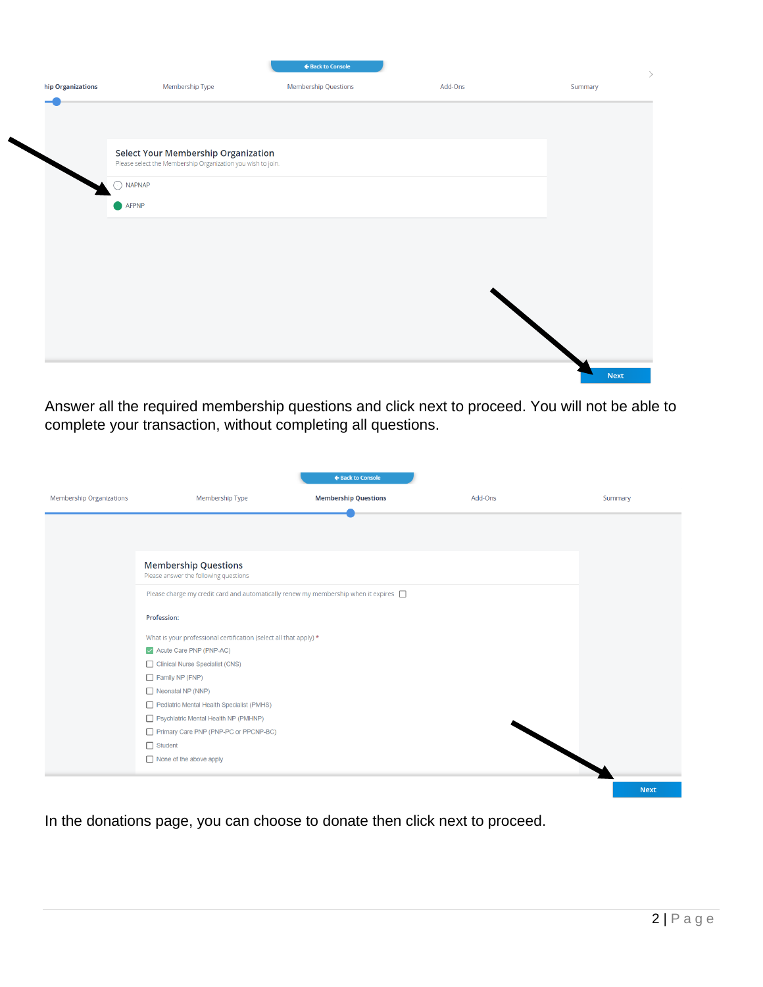|                   |                                                                                                           | ← Back to Console    |         | $\rightarrow$ |
|-------------------|-----------------------------------------------------------------------------------------------------------|----------------------|---------|---------------|
| hip Organizations | Membership Type                                                                                           | Membership Questions | Add-Ons | Summary       |
|                   |                                                                                                           |                      |         |               |
|                   |                                                                                                           |                      |         |               |
|                   | <b>Select Your Membership Organization</b><br>Please select the Membership Organization you wish to join. |                      |         |               |
|                   | <b>NAPNAP</b>                                                                                             |                      |         |               |
|                   | AFPNP                                                                                                     |                      |         |               |
|                   |                                                                                                           |                      |         |               |
|                   |                                                                                                           |                      |         |               |
|                   |                                                                                                           |                      |         |               |
|                   |                                                                                                           |                      |         |               |
|                   |                                                                                                           |                      |         |               |
|                   |                                                                                                           |                      |         |               |
|                   |                                                                                                           |                      |         | <b>Next</b>   |

Answer all the required membership questions and click next to proceed. You will not be able to complete your transaction, without completing all questions.

|                                 |                                                                                           | ← Back to Console           |         |             |
|---------------------------------|-------------------------------------------------------------------------------------------|-----------------------------|---------|-------------|
| <b>Membership Organizations</b> | Membership Type                                                                           | <b>Membership Questions</b> | Add-Ons | Summary     |
|                                 |                                                                                           |                             |         |             |
|                                 |                                                                                           |                             |         |             |
|                                 |                                                                                           |                             |         |             |
|                                 | <b>Membership Questions</b><br>Please answer the following questions                      |                             |         |             |
|                                 | Please charge my credit card and automatically renew my membership when it expires $\Box$ |                             |         |             |
|                                 | Profession:                                                                               |                             |         |             |
|                                 | What is your professional certification (select all that apply) *                         |                             |         |             |
|                                 | Acute Care PNP (PNP-AC)                                                                   |                             |         |             |
|                                 | Clinical Nurse Specialist (CNS)                                                           |                             |         |             |
|                                 | Family NP (FNP)                                                                           |                             |         |             |
|                                 | Neonatal NP (NNP)                                                                         |                             |         |             |
|                                 | Pediatric Mental Health Specialist (PMHS)                                                 |                             |         |             |
|                                 | Psychiatric Mental Health NP (PMHNP)                                                      |                             |         |             |
|                                 | Primary Care PNP (PNP-PC or PPCNP-BC)                                                     |                             |         |             |
|                                 | $\Box$ Student                                                                            |                             |         |             |
|                                 | $\Box$ None of the above apply                                                            |                             |         |             |
|                                 |                                                                                           |                             |         | <b>Next</b> |

In the donations page, you can choose to donate then click next to proceed.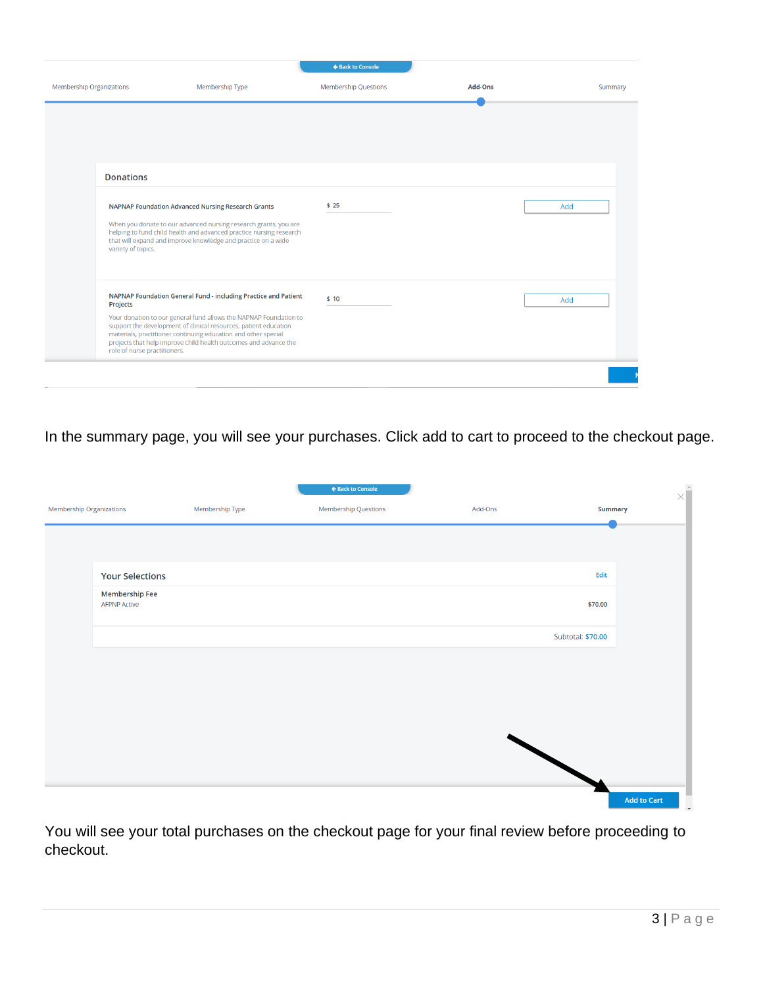|                                          |                                                                                                                                                                                                                                                                                                                                                | ← Back to Console           |                |         |
|------------------------------------------|------------------------------------------------------------------------------------------------------------------------------------------------------------------------------------------------------------------------------------------------------------------------------------------------------------------------------------------------|-----------------------------|----------------|---------|
| Membership Organizations                 | Membership Type                                                                                                                                                                                                                                                                                                                                | <b>Membership Questions</b> | <b>Add-Ons</b> | Summary |
|                                          |                                                                                                                                                                                                                                                                                                                                                |                             |                |         |
| <b>Donations</b>                         |                                                                                                                                                                                                                                                                                                                                                |                             |                |         |
| variety of topics.                       | NAPNAP Foundation Advanced Nursing Research Grants<br>When you donate to our advanced nursing research grants, you are<br>helping to fund child health and advanced practice nursing research<br>that will expand and improve knowledge and practice on a wide                                                                                 | \$25                        |                | Add     |
| Projects<br>role of nurse practitioners. | NAPNAP Foundation General Fund - including Practice and Patient<br>Your donation to our general fund allows the NAPNAP Foundation to<br>support the development of clinical resources, patient education<br>materials, practitioner continuing education and other special<br>projects that help improve child health outcomes and advance the | \$10                        |                | Add     |
|                                          |                                                                                                                                                                                                                                                                                                                                                |                             |                |         |

In the summary page, you will see your purchases. Click add to cart to proceed to the checkout page.

| Membership Organizations |                                                 | Membership Type | ← Back to Console<br>Membership Questions | Add-Ons | $\times \hat{\mathbb{I}}$<br>Summary |
|--------------------------|-------------------------------------------------|-----------------|-------------------------------------------|---------|--------------------------------------|
|                          |                                                 |                 |                                           |         |                                      |
|                          | <b>Your Selections</b><br><b>Membership Fee</b> |                 |                                           |         | Edit                                 |
|                          | <b>AFPNP Active</b>                             |                 |                                           |         | \$70.00                              |
|                          |                                                 |                 |                                           |         | Subtotal: \$70.00                    |
|                          |                                                 |                 |                                           |         |                                      |
|                          |                                                 |                 |                                           |         |                                      |
|                          |                                                 |                 |                                           |         |                                      |
|                          |                                                 |                 |                                           |         |                                      |
|                          |                                                 |                 |                                           |         | <b>Add to Cart</b>                   |

You will see your total purchases on the checkout page for your final review before proceeding to checkout.